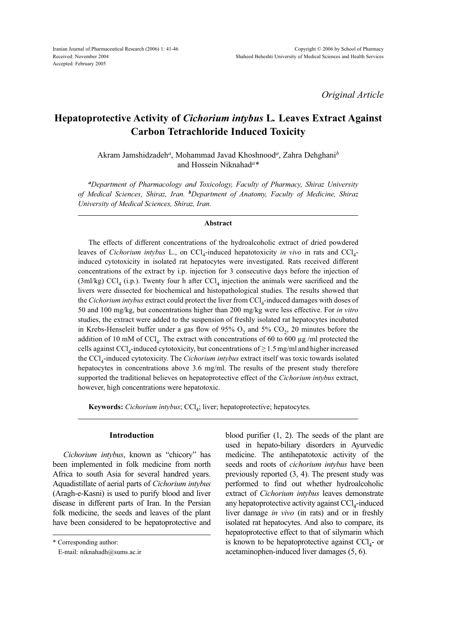*Original Article*

# **Hepatoprotective Activity of** *Cichorium intybus* **L***.* **Leaves Extract Against Carbon Tetrachloride Induced Toxicity**

Akram Jamshidzadeh*a*, Mohammad Javad Khoshnood*a*, Zahra Dehghani*<sup>b</sup>* and Hossein Niknahad*a\**

*<sup>a</sup>Department of Pharmacology and Toxicology, Faculty of Pharmacy, Shiraz University of Medical Sciences, Shiraz, Iran. <sup>b</sup>Department of Anatomy, Faculty of Medicine, Shiraz University of Medical Sciences, Shiraz, Iran.*

#### **Abstract**

The effects of different concentrations of the hydroalcoholic extract of dried powdered leaves of *Cichorium intybus* L., on CCl<sub>4</sub>-induced hepatotoxicity *in vivo* in rats and CCl<sub>4</sub>induced cytotoxicity in isolated rat hepatocytes were investigated. Rats received different concentrations of the extract by i.p. injection for 3 consecutive days before the injection of (3ml/kg) CCl<sub>4</sub> (i.p.). Twenty four h after CCl<sub>4</sub> injection the animals were sacrificed and the livers were dissected for biochemical and histopathological studies. The results showed that the *Cichorium intybus* extract could protect the liver from CCl<sub>4</sub>-induced damages with doses of 50 and 100 mg/kg, but concentrations higher than 200 mg/kg were less effective. For *in vitro* studies, the extract were added to the suspension of freshly isolated rat hepatocytes incubated in Krebs-Henseleit buffer under a gas flow of 95%  $O_2$  and 5%  $CO_2$ , 20 minutes before the addition of 10 mM of CCl<sub>4</sub>. The extract with concentrations of 60 to 600  $\mu$ g /ml protected the cells against  $\text{CCl}_4$ -induced cytotoxicity, but concentrations of  $\geq 1.5$  mg/ml and higher increased the CCl4-induced cytotoxicity. The *Cichorium intybus* extract itself was toxic towards isolated hepatocytes in concentrations above 3.6 mg/ml. The results of the present study therefore supported the traditional believes on hepatoprotective effect of the *Cichorium intybus* extract, however, high concentrations were hepatotoxic.

Keywords: Cichorium intybus; CCl<sub>4</sub>; liver; hepatoprotective; hepatocytes.

### **Introduction**

*Cichorium intybus*, known as "chicory" has been implemented in folk medicine from north Africa to south Asia for several handred years. Aquadistillate of aerial parts of *Cichorium intybus* (Aragh-e-Kasni) is used to purify blood and liver disease in different parts of Iran. In the Persian folk medicine, the seeds and leaves of the plant have been considered to be hepatoprotective and blood purifier (1, 2). The seeds of the plant are used in hepato-biliary disorders in Ayurvedic medicine. The antihepatotoxic activity of the seeds and roots of *cichorium intybus* have been previously reported (3, 4). The present study was performed to find out whether hydroalcoholic extract of *Cichorium intybus* leaves demonstrate any hepatoprotective activity against  $\text{CCl}_4$ -induced liver damage *in vivo* (in rats) and or in freshly isolated rat hepatocytes. And also to compare, its hepatoprotective effect to that of silymarin which is known to be hepatoprotective against  $\text{CC}l_{4}$ - or acetaminophen-induced liver damages (5, 6).

<sup>\*</sup> Corresponding author:

E-mail: niknahadh@sums.ac.ir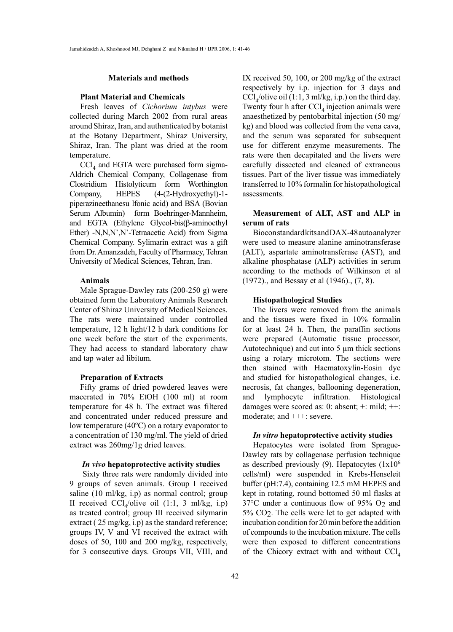#### **Materials and methods**

### **Plant Material and Chemicals**

Fresh leaves of *Cichorium intybus* were collected during March 2002 from rural areas around Shiraz, Iran, and authenticated by botanist at the Botany Department, Shiraz University, Shiraz, Iran. The plant was dried at the room temperature.

 $\text{CCl}_4$  and EGTA were purchased form sigma-Aldrich Chemical Company, Collagenase from Clostridium Histolyticum form Worthington Company, HEPES (4-(2-Hydroxyethyl)-1 piperazineethanesu lfonic acid) and BSA (Bovian Serum Albumin) form Boehringer-Mannheim, and EGTA (Ethylene Glycol-bis(β-aminoethyl Ether) -N,N,N',N'-Tetraacetic Acid) from Sigma Chemical Company. Sylimarin extract was a gift from Dr. Amanzadeh, Faculty of Pharmacy, Tehran University of Medical Sciences, Tehran, Iran.

# **Animals**

Male Sprague-Dawley rats (200-250 g) were obtained form the Laboratory Animals Research Center of Shiraz University of Medical Sciences. The rats were maintained under controlled temperature, 12 h light/12 h dark conditions for one week before the start of the experiments. They had access to standard laboratory chaw and tap water ad libitum.

### **Preparation of Extracts**

Fifty grams of dried powdered leaves were macerated in 70% EtOH (100 ml) at room temperature for 48 h. The extract was filtered and concentrated under reduced pressure and low temperature (40ºC) on a rotary evaporator to a concentration of 130 mg/ml. The yield of dried extract was 260mg/1g dried leaves.

#### *In vivo* **hepatoprotective activity studies**

 Sixty three rats were randomly divided into 9 groups of seven animals. Group І received saline (10 ml/kg, i.p) as normal control; group II received  $\text{CCl}_4/\text{olive}$  oil (1:1, 3 ml/kg, i.p) as treated control; group ІІІ received silymarin extract (25 mg/kg, i.p) as the standard reference; groups ІV, V and VІ received the extract with doses of 50, 100 and 200 mg/kg, respectively, for 3 consecutive days. Groups VII, VIII, and

IX received 50, 100, or 200 mg/kg of the extract respectively by i.p. injection for 3 days and  $\text{CCl}_4/\text{olive}$  oil (1:1, 3 ml/kg, i.p.) on the third day. Twenty four h after  $CCl<sub>4</sub>$  injection animals were anaesthetized by pentobarbital injection (50 mg/ kg) and blood was collected from the vena cava, and the serum was separated for subsequent use for different enzyme measurements. The rats were then decapitated and the livers were carefully dissected and cleaned of extraneous tissues. Part of the liver tissue was immediately transferred to 10% formalin for histopathological assessments.

# **Measurement of ALT, AST and ALP in serum of rats**

Biocon standard kits and DAX-48 auto analyzer were used to measure alanine aminotransferase (ALT), aspartate aminotransferase (AST), and alkaline phosphatase (ALP) activities in serum according to the methods of Wilkinson et al (1972)., and Bessay et al (1946)., (7, 8).

## **Histopathological Studies**

The livers were removed from the animals and the tissues were fixed in 10% formalin for at least 24 h. Then, the paraffin sections were prepared (Automatic tissue processor, Autotechnique) and cut into 5 µm thick sections using a rotary microtom. The sections were then stained with Haematoxylin-Eosin dye and studied for histopathological changes, i.e. necrosis, fat changes, ballooning degeneration, and lymphocyte infiltration. Histological damages were scored as: 0: absent; +: mild; ++: moderate; and +++: severe.

# *In vitro* **hepatoprotective activity studies**

Hepatocytes were isolated from Sprague-Dawley rats by collagenase perfusion technique as described previously (9). Hepatocytes  $(1x10<sup>6</sup>)$ cells/ml) were suspended in Krebs-Henseleit buffer (pH:7.4), containing 12.5 mM HEPES and kept in rotating, round bottomed 50 ml flasks at 37°C under a continuous flow of 95% O2 and 5% CO2. The cells were let to get adapted with incubation condition for 20 min before the addition of compounds to the incubation mixture. The cells were then exposed to different concentrations of the Chicory extract with and without  $\text{CCl}_4$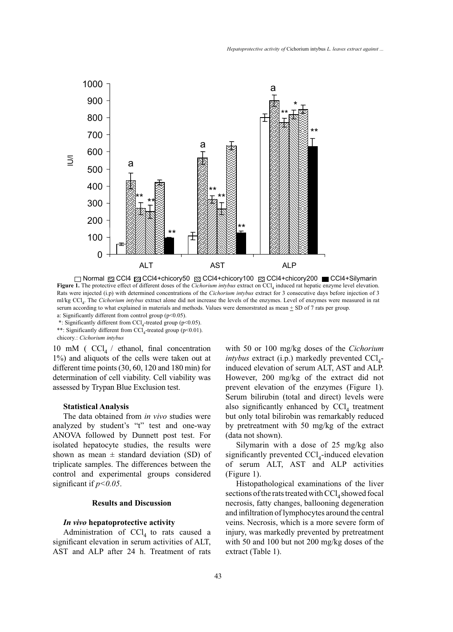

Normal CCl4 CCl4+chicory50 CCl4+chicory100 CCl4+chicory200 CCl4+Silymarin **Figure 1.** The protective effect of different doses of the *Cichorium intybus* extract on CCl<sub>4</sub> induced rat hepatic enzyme level elevation. Rats were injected (i.p) with determined concentrations of the *Cichorium intybus* extract for 3 consecutive days before injection of 3 ml/kg CCl4. The *Cichorium intybus* extract alone did not increase the levels of the enzymes. Level of enzymes were measured in rat serum according to what explained in materials and methods. Values were demorstrated as mean + SD of 7 rats per group. a: Significantly different from control group ( $p$ <0.05).

\*: Significantly different from  $\text{CC}l_{4}$ -treated group (p<0.05). \*\*: Significantly different from  $\text{CCl}_4$ -treated group (p<0.01). chicory*.*: *Cichorium intybus*

10 mM ( $CCl_4$  / ethanol, final concentration 1%) and aliquots of the cells were taken out at different time points (30, 60, 120 and 180 min) for determination of cell viability. Cell viability was assessed by Trypan Blue Exclusion test.

# **Statistical Analysis**

The data obtained from *in vivo* studies were analyzed by student's "t" test and one-way ANOVA followed by Dunnett post test. For isolated hepatocyte studies, the results were shown as mean  $\pm$  standard deviation (SD) of triplicate samples. The differences between the control and experimental groups considered significant if *p<0.05*.

# **Results and Discussion**

## *In vivo* **hepatoprotective activity**

Administration of  $CCl<sub>4</sub>$  to rats caused a significant elevation in serum activities of ALT, AST and ALP after 24 h. Treatment of rats

with 50 or 100 mg/kg doses of the *Cichorium intybus* extract (i.p.) markedly prevented  $\text{CC}l_{4}$ induced elevation of serum ALT, AST and ALP. However, 200 mg/kg of the extract did not prevent elevation of the enzymes (Figure 1). Serum bilirubin (total and direct) levels were also significantly enhanced by  $CCl<sub>4</sub>$  treatment but only total bilirobin was remarkably reduced by pretreatment with 50 mg/kg of the extract (data not shown).

Silymarin with a dose of 25 mg/kg also significantly prevented  $\text{CCl}_4$ -induced elevation of serum ALT, AST and ALP activities (Figure 1).

Histopathological examinations of the liver sections of the rats treated with  $\text{CCl}_4$  showed focal necrosis, fatty changes, ballooning degeneration and infiltration of lymphocytes around the central veins. Necrosis, which is a more severe form of injury, was markedly prevented by pretreatment with 50 and 100 but not 200 mg/kg doses of the extract (Table 1).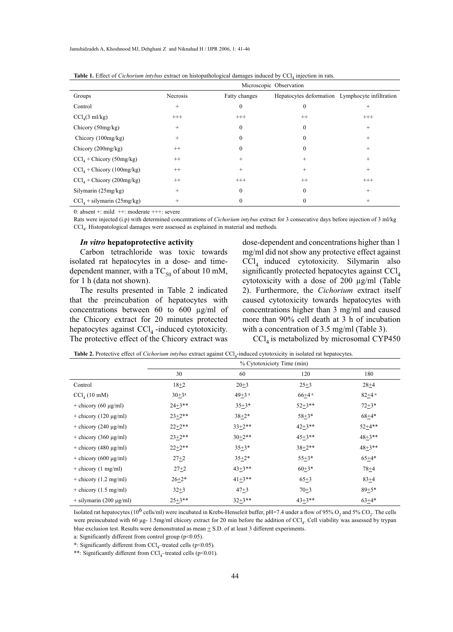|                                     | Microscopic Observation |               |                                                 |          |  |
|-------------------------------------|-------------------------|---------------|-------------------------------------------------|----------|--|
| Groups                              | Necrosis                | Fatty changes | Hepatocytes deformation Lymphocyte infiltration |          |  |
| Control                             | $^{+}$                  | $\theta$      | 0                                               | $^{+}$   |  |
| $\text{CCl}_4(3 \text{ ml/kg})$     | $^{+++}$                | $^{+++}$      | $^{++}$                                         | $^{+++}$ |  |
| Chicory (50mg/kg)                   | $^{+}$                  | $\theta$      | $\theta$                                        | $^{+}$   |  |
| Chicory $(100mg/kg)$                | $^{+}$                  | $\Omega$      | $\theta$                                        | $^{+}$   |  |
| Chicory $(200mg/kg)$                | $^{++}$                 | $\theta$      | $\theta$                                        | $^{+}$   |  |
| $\text{CCl}_4$ + Chicory (50mg/kg)  | $^{++}$                 | $^{+}$        | $\pm$                                           | $^+$     |  |
| $CCl4 + Chicory (100mg/kg)$         | $^{++}$                 | $^{+}$        | $^{+}$                                          | $^{+}$   |  |
| $\text{CCl}_4$ + Chicory (200mg/kg) | $^{++}$                 | $^{+++}$      | $^{++}$                                         | $^{+++}$ |  |
| Silymarin (25mg/kg)                 | $^{+}$                  | $\theta$      | $\theta$                                        | $^{+}$   |  |
| $CCl4$ + silymarin (25mg/kg)        |                         | $\Omega$      |                                                 | $^{+}$   |  |

**Table 1.** Effect of *Cichorium intybus* extract on histopathological damages induced by CCl<sub>4</sub> injection in rats.

0: absent +: mild ++: moderate +++: severe

Rats were injected (i.p) with determined concentrations of *Cichorium intybus* extract for 3 consecutive days before injection of 3 ml/kg CCl4. Histopatological damages were assessed as explained in material and methods.

#### *In vitro* **hepatoprotective activity**

Carbon tetrachloride was toxic towards isolated rat hepatocytes in a dose- and timedependent manner, with a  $TC_{50}$  of about 10 mM, for 1 h (data not shown).

The results presented in Table 2 indicated that the preincubation of hepatocytes with concentrations between 60 to 600 µg/ml of the Chicory extract for 20 minutes protected hepatocytes against  $\text{CCl}_4$ -induced cytotoxicity. The protective effect of the Chicory extract was

dose-dependent and concentrations higher than 1 mg/ml did not show any protective effect against  $\text{CCl}_4$  induced cytotoxicity. Silymarin also significantly protected hepatocytes against  $\text{CC}l_{4}$ cytotoxicity with a dose of 200 µg/ml (Table 2). Furthermore, the *Cichorium* extract itself caused cytotoxicity towards hepatocytes with concentrations higher than 3 mg/ml and caused more than 90% cell death at 3 h of incubation with a concentration of 3.5 mg/ml (Table 3).

 $\text{CCl}_4$  is metabolized by microsomal CYP450

**Table 2.** Protective effect of *Cichorium intybus* extract against CCl<sub>4</sub>-induced cytotoxicity in isolated rat hepatocytes.

|                            | % Cytotoxicioty Time (min) |                       |            |                       |  |
|----------------------------|----------------------------|-----------------------|------------|-----------------------|--|
|                            | 30                         | 60                    | 120        | 180                   |  |
| Control                    | $18+2$                     | $20 + 3$              | $25 + 3$   | $28 + 4$              |  |
| $\text{CCl}_{4}$ (10 mM)   | $30+3^a$                   | $49 + 3$ <sup>a</sup> | $66 + 4^a$ | $82 + 4$ <sup>a</sup> |  |
| + chicory (60 $\mu$ g/ml)  | $24 + 3**$                 | $35 + 3*$             | $52+3**$   | $72 + 3*$             |  |
| + chicory $(120 \mu g/ml)$ | $23+2**$                   | $38+2*$               | $58 + 3*$  | $68 + 4*$             |  |
| + chicory $(240 \mu g/ml)$ | $22+2**$                   | $33+2**$              | $42 + 3**$ | $52+4**$              |  |
| $+$ chicory (360 µg/ml)    | $23+2**$                   | $30+2**$              | $45 + 3**$ | $48 + 3**$            |  |
| + chicory (480 $\mu$ g/ml) | $22+2**$                   | $35 + 3*$             | $38 + 2**$ | $48 + 3**$            |  |
| + chicory (600 $\mu$ g/ml) | $27 + 2$                   | $35+2*$               | $55+3*$    | $65+4*$               |  |
| $+$ chicory (1 mg/ml)      | $27 + 2$                   | $43+3**$              | $60+3*$    | $78 + 4$              |  |
| $+$ chicory (1.2 mg/ml)    | $26 + 2*$                  | $41+3**$              | $65 + 3$   | $83+4$                |  |
| $+$ chicory (1.5 mg/ml)    | $32 + 3$                   | $47 + 3$              | $70 + 3$   | $89 + 5*$             |  |
| $+$ silymarin (200 µg/ml)  | $25 + 3**$                 | $32+3**$              | $43+3**$   | $63+4*$               |  |

Isolated rat hepatocytes (10<sup>6</sup> cells/ml) were incubated in Krebs-Henseleit buffer, pH=7.4 under a flow of 95%  $O_2$  and 5%  $CO_2$ . The cells were preincubated with 60 μg- 1.5mg/ml chicory extract for 20 min before the addition of CCl<sub>4</sub>. Cell viability was assessed by trypan blue exclusion test. Results were demonstrated as mean  $\pm$  S.D. of at least 3 different experiments.

a: Significantly different from control group (p<0.05).

\*: Significantly different from  $CCl_4$ -treated cells (p<0.05).

\*\*: Significantly different from  $\text{CCl}_4$ -treated cells (p<0.01).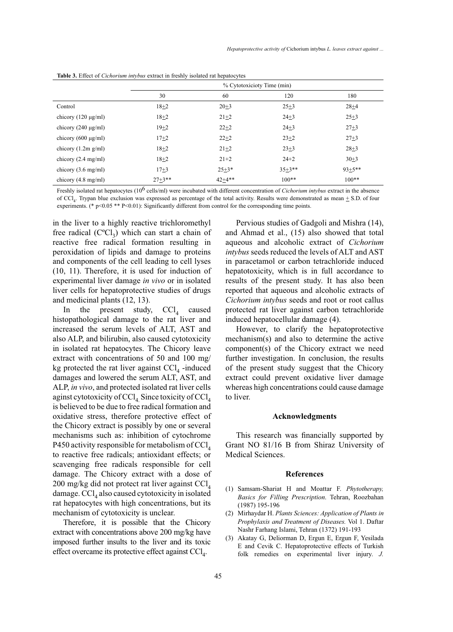|                               | % Cytotoxicioty Time (min) |            |            |            |  |
|-------------------------------|----------------------------|------------|------------|------------|--|
|                               | 30                         | 60         | 120        | 180        |  |
| Control                       | $18 + 2$                   | $20 + 3$   | $25 + 3$   | $28 + 4$   |  |
| chicory $(120 \mu g/ml)$      | $18 + 2$                   | $21 + 2$   | $24 + 3$   | $25 + 3$   |  |
| chicory $(240 \mu g/ml)$      | $19 + 2$                   | $22 + 2$   | $24 + 3$   | $27 + 3$   |  |
| chicory $(600 \mu g/ml)$      | $17 + 2$                   | $22 + 2$   | $23 + 2$   | $27 + 3$   |  |
| chicory $(1.2m g/ml)$         | $18+2$                     | $21 + 2$   | $23 + 3$   | $28 + 3$   |  |
| chicory $(2.4 \text{ mg/ml})$ | $18 + 2$                   | $21+2$     | $24 + 2$   | $30 + 3$   |  |
| chicory $(3.6 \text{ mg/ml})$ | $17 + 3$                   | $25 + 3*$  | $35 + 3**$ | $93 + 5**$ |  |
| chicory $(4.8 \text{ mg/ml})$ | $27 + 3**$                 | $42 + 4**$ | $100**$    | $100**$    |  |

**Table 3.** Effect of *Cichorium intybus* extract in freshly isolated rat hepatocytes

Freshly isolated rat hepatocytes (106 cells/ml) were incubated with different concentration of *Cichorium intybus* extract in the absence of CCL. Trypan blue exclusion was expressed as percentage of the total activity. Results were demonstrated as mean + S.D. of four experiments. (\* p<0.05 \*\* P<0.01): Significantly different from control for the corresponding time points.

in the liver to a highly reactive trichloromethyl free radical  $(C^{\circ}Cl_{3})$  which can start a chain of reactive free radical formation resulting in peroxidation of lipids and damage to proteins and components of the cell leading to cell lyses (10, 11). Therefore, it is used for induction of experimental liver damage *in vivo* or in isolated liver cells for hepatoprotective studies of drugs and medicinal plants (12, 13).

In the present study,  $\text{CCl}_4$  caused histopathological damage to the rat liver and increased the serum levels of ALT, AST and also ALP, and bilirubin, also caused cytotoxicity in isolated rat hepatocytes. The Chicory leave extract with concentrations of 50 and 100 mg/ kg protected the rat liver against  $\text{CCl}_4$  -induced damages and lowered the serum ALT, AST, and ALP, *in vivo*, and protected isolated rat liver cells aginst cytotoxicity of  $\text{CCl}_4$ . Since toxicity of  $\text{CCl}_4$ is believed to be due to free radical formation and oxidative stress, therefore protective effect of the Chicory extract is possibly by one or several mechanisms such as: inhibition of cytochrome P450 activity responsible for metabolism of  $\text{CC}l_{4}$ to reactive free radicals; antioxidant effects; or scavenging free radicals responsible for cell damage. The Chicory extract with a dose of 200 mg/kg did not protect rat liver against  $\text{CC}l_{4}$ damage.  $\text{CCl}_4$  also caused cytotoxicity in isolated rat hepatocytes with high concentrations, but its mechanism of cytotoxicity is unclear.

Therefore, it is possible that the Chicory extract with concentrations above 200 mg/kg have imposed further insults to the liver and its toxic effect overcame its protective effect against  $CCl<sub>4</sub>$ .

Pervious studies of Gadgoli and Mishra (14), and Ahmad et al., (15) also showed that total aqueous and alcoholic extract of *Cichorium intybus* seeds reduced the levels of ALT and AST in paracetamol or carbon tetrachloride induced hepatotoxicity, which is in full accordance to results of the present study. It has also been reported that aqueous and alcoholic extracts of *Cichorium intybus* seeds and root or root callus protected rat liver against carbon tetrachloride induced hepatocellular damage (4).

However, to clarify the hepatoprotective mechanism(s) and also to determine the active component(s) of the Chicory extract we need further investigation. In conclusion, the results of the present study suggest that the Chicory extract could prevent oxidative liver damage whereas high concentrations could cause damage to liver.

#### **Acknowledgments**

This research was financially supported by Grant NO 81/16 B from Shiraz University of Medical Sciences.

#### **References**

- Samsam-Shariat H and Moattar F. *Phytotherapy,*  (1) *Basics for Filling Prescription*. Tehran, Roozbahan (1987) 195-196
- Mirhaydar H. *Plants Sciences: Application of Plants in*  (2) *Prophylaxis and Treatment of Diseases.* Vol 1. Daftar Nashr Farhang Islami, Tehran (1372) 191-193
- Akatay G, Deliorman D, Ergun E, Ergun F, Yesilada (3) E and Cevik C. Hepatoprotective effects of Turkish folk remedies on experimental liver injury. *J.*